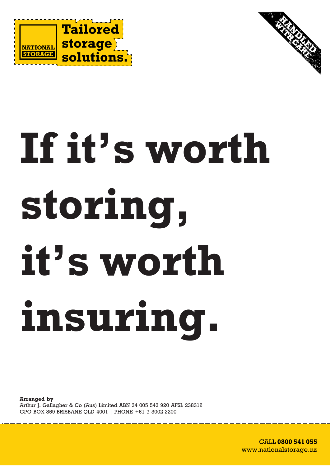



# **If it's worth storing, it's worth insuring.**

**Arranged by** Arthur J. Gallagher & Co (Aus) Limited ABN 34 005 543 920 AFSL 238312 GPO BOX 859 BRISBANE QLD 4001 | PHONE +61 7 3002 2200

> CALL **0800 541 055** CALL **1800 650 209** www.nationalstorage.nz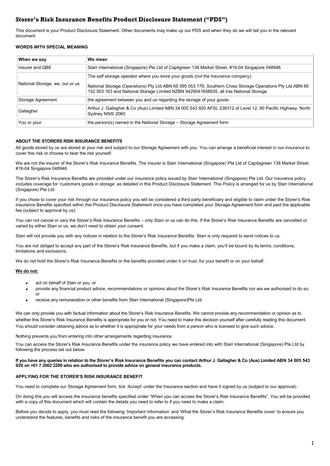# **Storer's Risk Insurance Benefits Product Disclosure Statement ("PDS")**

This document is your Product Disclosure Statement. Other documents may make up our PDS and when they do we will tell you in the relevant document.

# **WORDS WITH SPECIAL MEANING**

| When we say                     | We mean                                                                                                                                                                                              |
|---------------------------------|------------------------------------------------------------------------------------------------------------------------------------------------------------------------------------------------------|
| Insurer and QBE                 | Starr International (Singapore) Pte Ltd of Capitgreen 138 Market Street, #16-04 Singapore 048946                                                                                                     |
| National Storage, we, our or us | The self storage operator where you store your goods (not the Insurance company):                                                                                                                    |
|                                 | National Storage (Operations) Pty Ltd ABN 65 095 053 179, Southern Cross Storage Operations Pty Ltd ABN 66<br>152 503 163 and National Storage Limited NZBN 9429041658635, all t/as National Storage |
| Storage Agreement               | the agreement between you and us regarding the storage of your goods                                                                                                                                 |
| Gallagher                       | Arthur J. Gallagher & Co (Aus) Limited ABN 34 005 543 920 AFSL 238312 of Level 12, 80 Pacific Highway, North<br>Sydney NSW 2060                                                                      |
| You or your                     | the person(s) named in the National Storage – Storage Agreement form                                                                                                                                 |

#### **ABOUT THE STORERS RISK INSURANCE BENEFITS**

All goods stored by us are stored at your risk and subject to our Storage Agreement with you. You can arrange a beneficial interest in our insurance to cover this risk or choose to bear the risk yourself.

We are not the insurer of the Storer's Risk Insurance Benefits. The insurer is Starr International (Singapore) Pte Ltd of Capitagreen 138 Market Street #16-04 Singapore 048946.

The Storer's Risk Insurance Benefits are provided under our insurance policy issued by Starr International (Singapore) Pte Ltd. Our insurance policy includes coverage for 'customers goods in storage' as detailed in this Product Disclosure Statement. This Policy is arranged for us by Starr International (Singapore) Pte Ltd.

If you chose to cover your risk through our insurance policy you will be considered a third party beneficiary and eligible to claim under the Storer's Risk Insurance Benefits specified within this Product Disclosure Statement once you have completed your Storage Agreement form and paid the applicable fee (subject to approval by us).

You can not cancel or vary the Storer's Risk Insurance Benefits – only Starr or us can do this. If the Storer's Risk Insurance Benefits are cancelled or varied by either Starr or us, we don't need to obtain your consent.

Starr will not provide you with any notices in relation to the Storer's Risk Insurance Benefits. Starr is only required to send notices to us.

You are not obliged to accept any part of the Storer's Risk Insurance Benefits, but if you make a claim, you'll be bound by its terms, conditions, limitations and exclusions.

We do not hold the Storer's Risk Insurance Benefits or the benefits provided under it on trust, for your benefit or on your behalf.

#### **We do not:**

- act on behalf of Starr or you; or
- provide any financial product advice, recommendations or opinions about the Storer's Risk Insurance Benefits nor are we authorised to do so; or
- receive any remuneration or other benefits from Starr International (Singapore)Pte Ltd.

We can only provide you with factual information about the Storer's Risk Insurance Benefits. We cannot provide any recommendation or opinion as to whether this Storer's Risk Insurance Benefits is appropriate for you or not. You need to make this decision yourself after carefully reading this document. You should consider obtaining advice as to whether it is appropriate for your needs from a person who is licensed to give such advice.

Nothing prevents you from entering into other arrangements regarding insurance.

You can access the Storer's Risk Insurance Benefits under the insurance policy we have entered into with Starr International (Singapore) Pte Ltd by following the process set out below.

#### **If you have any queries in relation to the Storer's Risk Insurance Benefits you can contact Arthur J. Gallagher & Co (Aus) Limited ABN 34 005 543 920 on +61 7 3002 2200 who are authorised to provide advice on general insurance products.**

#### **APPLYING FOR THE STORER'S RISK INSURANCE BENEFIT**

You need to complete our Storage Agreement form, tick 'Accept' under the Insurance section and have it signed by us (subject to our approval).

On doing this you will access the insurance benefits specified under "When you can access the Storer's Risk Insurance Benefits". You will be provided with a copy of this document which will contain the details you need to refer to if you need to make a claim.

Before you decide to apply, you must read the following 'Important Information' and 'What the Storer's Risk Insurance Benefits cover' to ensure you understand the features, benefits and risks of the insurance benefit you are accessing.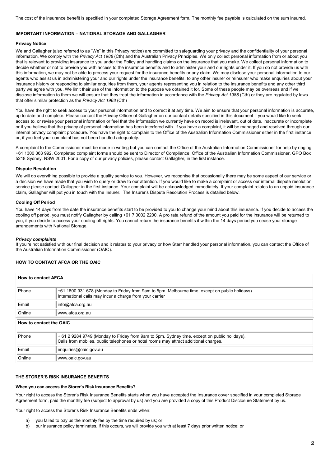The cost of the insurance benefit is specified in your completed Storage Agreement form. The monthly fee payable is calculated on the sum insured.

#### **IMPORTANT INFORMATION – NATIONAL STORAGE AND GALLAGHER**

# **Privacy Notice**

We and Gallagher (also referred to as "We" in this Privacy notice) are committed to safeguarding your privacy and the confidentiality of your personal information. We comply with the *Privacy Act 1988* (Cth) and the Australian Privacy Principles. We only collect personal information from or about you that is relevant to providing insurance to you under the Policy and handling claims on the insurance that you make. We collect personal information to decide whether or not to provide you with access to the insurance benefits and to administer your and our rights under it. If you do not provide us with this information, we may not be able to process your request for the insurance benefits or any claim. We may disclose your personal information to our agents who assist us in administering your and our rights under the insurance benefits, to any other insurer or reinsurer who make enquiries about your insurance history or responding to similar enquiries from them, your agents representing you in relation to the insurance benefits and any other third party we agree with you. We limit their use of the information to the purpose we obtained it for. Some of these people may be overseas and if we disclose information to them we will ensure that they treat the information in accordance with the *Privacy Act 1988* (Cth) or they are regulated by laws that offer similar protection as the *Privacy Act 1988* (Cth)

You have the right to seek access to your personal information and to correct it at any time. We aim to ensure that your personal information is accurate, up to date and complete. Please contact the Privacy Officer of Gallagher on our contact details specified in this document if you would like to seek access to, or revise your personal information or feel that the information we currently have on record is irrelevant, out of date, inaccurate or incomplete or if you believe that the privacy of personal information has been interfered with. If you have a complaint, it will be managed and resolved through our internal privacy complaint procedure. You have the right to complain to the Office of the Australian Information Commissioner either in the first instance or, if you feel your complaint has not been handled adequately.

A complaint to the Commissioner must be made in writing but you can contact the Office of the Australian Information Commissioner for help by ringing +61 1300 363 992. Completed complaint forms should be sent to Director of Compliance, Office of the Australian Information Commissioner, GPO Box 5218 Sydney, NSW 2001. For a copy of our privacy policies, please contact Gallagher, in the first instance.

# **Dispute Resolution**

We will do everything possible to provide a quality service to you. However, we recognise that occasionally there may be some aspect of our service or a decision we have made that you wish to query or draw to our attention. If you would like to make a complaint or access our internal dispute resolution service please contact Gallagher in the first instance. Your complaint will be acknowledged immediately. If your complaint relates to an unpaid insurance claim, Gallagher will put you in touch with the Insurer. The Insurer's Dispute Resolution Process is detailed below.

# **Cooling Off Period**

You have 14 days from the date the insurance benefits start to be provided to you to change your mind about this insurance. If you decide to access the cooling off period, you must notify Gallagher by calling +61 7 3002 2200. A pro rata refund of the amount you paid for the insurance will be returned to you, if you decide to access your cooling off rights. You cannot return the insurance benefits if within the 14 days period you cease your storage arrangements with National Storage.

#### *Privacy complaints*

If you're not satisfied with our final decision and it relates to your privacy or how Starr handled your personal information, you can contact the Office of the Australian Information Commissioner (OAIC).

#### **HOW TO CONTACT AFCA OR THE OAIC**

| <b>How to contact AFCA</b> |                                                                                                                                                                                      |  |
|----------------------------|--------------------------------------------------------------------------------------------------------------------------------------------------------------------------------------|--|
| Phone                      | +61 1800 931 678 (Monday to Friday from 9am to 5pm, Melbourne time, except on public holidays)<br>International calls may incur a charge from your carrier                           |  |
| Email                      | info@afca.org.au                                                                                                                                                                     |  |
| Online                     | www.afca.org.au                                                                                                                                                                      |  |
| How to contact the OAIC    |                                                                                                                                                                                      |  |
| Phone                      | + 61 2 9284 9749 (Monday to Friday from 9am to 5pm, Sydney time, except on public holidays).<br>Calls from mobiles, public telephones or hotel rooms may attract additional charges. |  |
| Email                      | enquiries@oaic.gov.au                                                                                                                                                                |  |
| Online                     | www.oaic.gov.au                                                                                                                                                                      |  |

#### **THE STORER'S RISK INSURANCE BENEFITS**

# **When you can access the Storer's Risk Insurance Benefits?**

Your right to access the Storer's Risk Insurance Benefits starts when you have accepted the Insurance cover specified in your completed Storage Agreement form, paid the monthly fee (subject to approval by us) and you are provided a copy of this Product Disclosure Statement by us.

Your right to access the Storer's Risk Insurance Benefits ends when:

- you failed to pay us the monthly fee by the time required by us; or
- b) our insurance policy terminates. If this occurs, we will provide you with at least 7 days prior written notice; or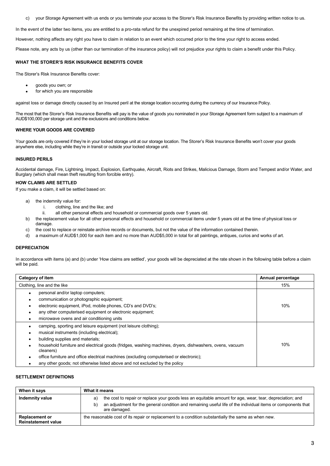c) your Storage Agreement with us ends or you terminate your access to the Storer's Risk Insurance Benefits by providing written notice to us.

In the event of the latter two items, you are entitled to a pro-rata refund for the unexpired period remaining at the time of termination.

However, nothing affects any right you have to claim in relation to an event which occurred prior to the time your right to access ended.

Please note, any acts by us (other than our termination of the insurance policy) will not prejudice your rights to claim a benefit under this Policy.

#### **WHAT THE STORER'S RISK INSURANCE BENEFITS COVER**

The Storer's Risk Insurance Benefits cover:

- goods you own; or
- for which you are responsible

against loss or damage directly caused by an Insured peril at the storage location occurring during the currency of our Insurance Policy.

The most that the Storer's Risk Insurance Benefits will pay is the value of goods you nominated in your Storage Agreement form subject to a maximum of AUD\$100,000 per storage unit and the exclusions and conditions below.

# **WHERE YOUR GOODS ARE COVERED**

Your goods are only covered if they're in your locked storage unit at our storage location. The Storer's Risk Insurance Benefits won't cover your goods anywhere else, including while they're in transit or outside your locked storage unit.

#### **INSURED PERILS**

Accidental damage, Fire, Lightning, Impact, Explosion, Earthquake, Aircraft, Riots and Strikes, Malicious Damage, Storm and Tempest and/or Water, and Burglary (which shall mean theft resulting from forcible entry).

#### **HOW CLAIMS ARE SETTLED**

If you make a claim, it will be settled based on:

- a) the indemnity value for:
	- i. clothing, line and the like; and
	- ii. all other personal effects and household or commercial goods over 5 years old.
- b) the replacement value for all other personal effects and household or commercial items under 5 years old at the time of physical loss or damage.
- c) the cost to replace or reinstate archive records or documents, but not the value of the information contained therein.
- d) a maximum of AUD\$1,000 for each item and no more than AUD\$5,000 in total for all paintings, antiques, curios and works of art.

#### **DEPRECIATION**

In accordance with items (a) and (b) under 'How claims are settled', your goods will be depreciated at the rate shown in the following table before a claim will be paid.

| Category of item                                                                                                     | Annual percentage |
|----------------------------------------------------------------------------------------------------------------------|-------------------|
| Clothing, line and the like                                                                                          | 15%               |
| personal and/or laptop computers;                                                                                    |                   |
| communication or photographic equipment;                                                                             |                   |
| electronic equipment, iPod, mobile phones, CD's and DVD's;                                                           | 10%               |
| any other computerised equipment or electronic equipment;                                                            |                   |
| microwave ovens and air conditioning units<br>٠                                                                      |                   |
| camping, sporting and leisure equipment (not leisure clothing);                                                      |                   |
| musical instruments (including electrical);                                                                          |                   |
| building supplies and materials;                                                                                     |                   |
| household furniture and electrical goods (fridges, washing machines, dryers, dishwashers, ovens, vacuum<br>cleaners) | 10%               |
| office furniture and office electrical machines (excluding computerised or electronic);                              |                   |
| any other goods; not otherwise listed above and not excluded by the policy                                           |                   |

#### **SETTLEMENT DEFINITIONS**

| When it says                                        | What it means                                                                                                                                                                                                                                        |  |
|-----------------------------------------------------|------------------------------------------------------------------------------------------------------------------------------------------------------------------------------------------------------------------------------------------------------|--|
| Indemnity value                                     | the cost to repair or replace your goods less an equitable amount for age, wear, tear, depreciation; and<br>a)<br>an adjustment for the general condition and remaining useful life of the individual items or components that<br>b)<br>are damaged. |  |
| <b>Replacement or</b><br><b>Reinstatement value</b> | the reasonable cost of its repair or replacement to a condition substantially the same as when new.                                                                                                                                                  |  |